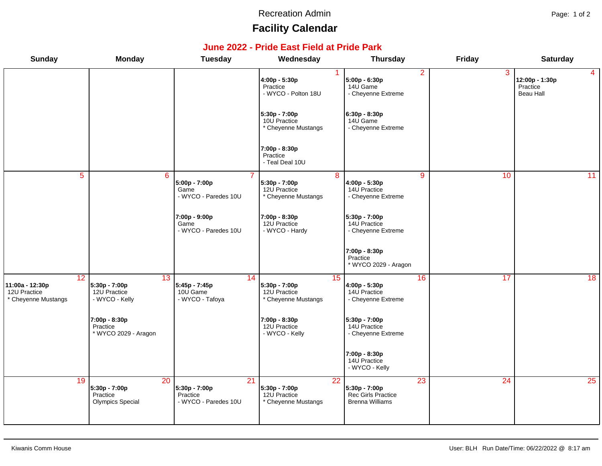#### Recreation Admin **Page: 1 of 2**

# **Facility Calendar**

### **June 2022 - Pride East Field at Pride Park**

| <b>Sunday</b>                                                | <b>Monday</b>                                              | <b>Tuesday</b>                                          | Wednesday                                                               | <b>Thursday</b>                                                     | <b>Friday</b> | <b>Saturday</b>                                           |
|--------------------------------------------------------------|------------------------------------------------------------|---------------------------------------------------------|-------------------------------------------------------------------------|---------------------------------------------------------------------|---------------|-----------------------------------------------------------|
|                                                              |                                                            |                                                         | 4:00p - 5:30p<br>Practice<br>- WYCO - Polton 18U                        | 2<br>5:00p - 6:30p<br>14U Game<br>- Cheyenne Extreme                | 3             | $\overline{4}$<br>12:00p - 1:30p<br>Practice<br>Beau Hall |
|                                                              |                                                            |                                                         | 5:30p - 7:00p<br>10U Practice<br>* Cheyenne Mustangs                    | 6:30p - 8:30p<br>14U Game<br>- Cheyenne Extreme                     |               |                                                           |
|                                                              |                                                            |                                                         | 7:00p - 8:30p<br>Practice<br>- Teal Deal 10U                            |                                                                     |               |                                                           |
| $\overline{5}$                                               | 6                                                          | 5:00p - 7:00p<br>Game<br>- WYCO - Paredes 10U           | 8<br>5:30p - 7:00p<br>12U Practice<br>* Cheyenne Mustangs               | 9<br>4:00p - 5:30p<br>14U Practice<br>- Cheyenne Extreme            | 10            | $\overline{11}$                                           |
|                                                              |                                                            | 7:00p - 9:00p<br>Game<br>- WYCO - Paredes 10U           | 7:00p - 8:30p<br>12U Practice<br>- WYCO - Hardy                         | 5:30p - 7:00p<br>14U Practice<br>- Cheyenne Extreme                 |               |                                                           |
|                                                              |                                                            |                                                         |                                                                         | 7:00p - 8:30p<br>Practice<br>* WYCO 2029 - Aragon                   |               |                                                           |
| 12<br>11:00a - 12:30p<br>12U Practice<br>* Cheyenne Mustangs | 13<br>5:30p - 7:00p<br>12U Practice<br>- WYCO - Kelly      | 14<br>5:45p - 7:45p<br>10U Game<br>- WYCO - Tafoya      | 15<br>5:30p - 7:00p<br>12U Practice<br>* Cheyenne Mustangs              | 16<br>4:00p - 5:30p<br>14U Practice<br>- Cheyenne Extreme           | 17            | 18                                                        |
|                                                              | 7:00p - 8:30p<br>Practice<br>* WYCO 2029 - Aragon          |                                                         | 7:00p - 8:30p<br>12U Practice<br>- WYCO - Kelly                         | 5:30p - 7:00p<br>14U Practice<br>- Cheyenne Extreme                 |               |                                                           |
|                                                              |                                                            |                                                         |                                                                         | 7:00p - 8:30p<br>14U Practice<br>- WYCO - Kelly                     |               |                                                           |
| 19                                                           | 20<br>5:30p - 7:00p<br>Practice<br><b>Olympics Special</b> | 21<br>5:30p - 7:00p<br>Practice<br>- WYCO - Paredes 10U | $\overline{22}$<br>5:30p - 7:00p<br>12U Practice<br>* Cheyenne Mustangs | 23<br>5:30p - 7:00p<br>Rec Girls Practice<br><b>Brenna Williams</b> | 24            | 25                                                        |